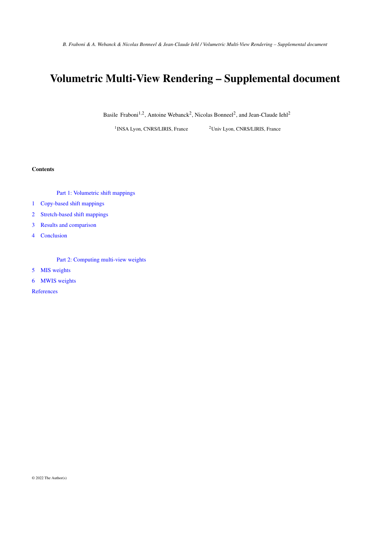# Volumetric Multi-View Rendering – Supplemental document

Basile Fraboni<sup>1,2</sup>, Antoine Webanck<sup>2</sup>, Nicolas Bonneel<sup>2</sup>, and Jean-Claude Iehl<sup>2</sup>

<sup>1</sup>INSA Lyon, CNRS/LIRIS, France

 $10$ Univ Lyon, CNRS/LIRIS, France

## Contents

[Part 1: Volumetric shift mappings](#page-1-0)

[1 Copy-based shift mappings](#page-1-1)

[2 Stretch-based shift mappings](#page-2-0)

[3 Results and comparison](#page-6-0)

[4 Conclusion](#page-6-1)

[Part 2: Computing multi-view weights](#page-8-0)

[5 MIS weights](#page-8-1)

[6 MWIS weights](#page-8-2)

**[References](#page-8-3)**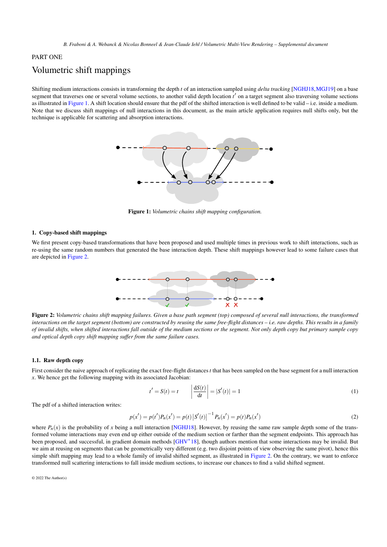# <span id="page-1-4"></span><span id="page-1-0"></span>PART ONE

# Volumetric shift mappings

<span id="page-1-2"></span>Shifting medium interactions consists in transforming the depth *t* of an interaction sampled using *delta tracking* [\[NGHJ18,](#page-9-0)[MGJ19\]](#page-9-1) on a base segment that traverses one or several volume sections, to another valid depth location  $t'$  on a target segment also traversing volume sections as illustrated in [Figure 1.](#page-1-2) A shift location should ensure that the pdf of the shifted interaction is well defined to be valid – i.e. inside a medium. Note that we discuss shift mappings of null interactions in this document, as the main article application requires null shifts only, but the technique is applicable for scattering and absorption interactions.



Figure 1: *Volumetric chains shift mapping configuration.*

### <span id="page-1-1"></span>1. Copy-based shift mappings

<span id="page-1-3"></span>We first present copy-based transformations that have been proposed and used multiple times in previous work to shift interactions, such as re-using the same random numbers that generated the base interaction depth. These shift mappings however lead to some failure cases that are depicted in [Figure 2.](#page-1-3)



Figure 2: *Volumetric chains shift mapping failures. Given a base path segment (top) composed of several null interactions, the transformed interactions on the target segment (bottom) are constructed by reusing the same free-flight distances – i.e. raw depths. This results in a family of invalid shifts, when shifted interactions fall outside of the medium sections or the segment. Not only depth copy but primary sample copy and optical depth copy shift mapping suffer from the same failure cases.*

#### 1.1. Raw depth copy

First consider the naive approach of replicating the exact free-flight distances*t* that has been sampled on the base segment for a null interaction *x*. We hence get the following mapping with its associated Jacobian:

$$
t' = S(t) = t \qquad \left| \frac{\mathrm{d}S(t)}{\mathrm{d}t} \right| = |S'(t)| = 1 \tag{1}
$$

The pdf of a shifted interaction writes:

$$
p(x') = p(t')P_n(x') = p(t) |S'(t)|^{-1} P_n(x') = p(t)P_n(x')
$$
\n(2)

where  $P_n(x)$  is the probability of *x* being a null interaction [\[NGHJ18\]](#page-9-0). However, by reusing the same raw sample depth some of the transformed volume interactions may even end up either outside of the medium section or farther than the segment endpoints. This approach has been proposed, and successful, in gradient domain methods [\[GHV](#page-9-2)<sup>∗</sup>18], though authors mention that some interactions may be invalid. But we aim at reusing on segments that can be geometrically very different (e.g. two disjoint points of view observing the same pivot), hence this simple shift mapping may lead to a whole family of invalid shifted segment, as illustrated in [Figure 2.](#page-1-3) On the contrary, we want to enforce transformed null scattering interactions to fall inside medium sections, to increase our chances to find a valid shifted segment.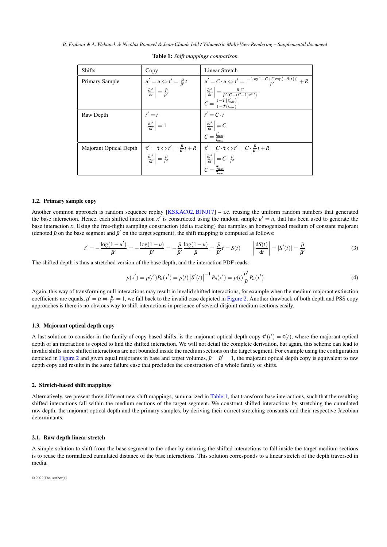<span id="page-2-2"></span><span id="page-2-1"></span>

| <b>Shifts</b>          | Copy                                                                         | Linear Stretch                                                                                                                                                                                                                                                                                                                                                                                                           |
|------------------------|------------------------------------------------------------------------------|--------------------------------------------------------------------------------------------------------------------------------------------------------------------------------------------------------------------------------------------------------------------------------------------------------------------------------------------------------------------------------------------------------------------------|
| Primary Sample         | $u' = u \Leftrightarrow t' = \frac{\bar{\mu}}{\bar{u}'}t$                    | $u' = C \cdot u \Leftrightarrow t' = \frac{-\log(1 - C + C \exp(-\overline{\tau}(t)))}{\overline{u}'} + R$                                                                                                                                                                                                                                                                                                               |
|                        | $\left \frac{\partial t'}{\partial t}\right  = \frac{\bar{\mu}}{\bar{\mu}'}$ | $\left \begin{array}{c} \left \frac{\partial t'}{\partial t}\right =\frac{\bar{\mu} \cdot C}{\bar{\mu}'(C-(C-1)e^{\bar{\mu}\cdot t})} \end{array}\right $<br>$C = \frac{1-\bar{T}(t'_{max})}{1-\bar{T}(t-)}$                                                                                                                                                                                                             |
| Raw Depth              |                                                                              |                                                                                                                                                                                                                                                                                                                                                                                                                          |
|                        | $t' = t$<br>$\left \frac{\partial t'}{\partial t}\right  = 1$                | $t' = C \cdot t$<br>$\left  \frac{\partial t'}{\partial t} \right  = C$<br>$C = \frac{t'_{\text{max}}}{t_{\text{max}}}$                                                                                                                                                                                                                                                                                                  |
|                        |                                                                              |                                                                                                                                                                                                                                                                                                                                                                                                                          |
| Majorant Optical Depth |                                                                              |                                                                                                                                                                                                                                                                                                                                                                                                                          |
|                        |                                                                              | $\begin{array}{ c c } \bar{\tau}'=\bar{\tau}\Leftrightarrow t'=\frac{\bar{\mu}}{\bar{\mu}'}t+R & \bar{\tau}'=C\cdot\bar{\tau}\Leftrightarrow t'=C\cdot\frac{\bar{\mu}}{\bar{\mu}'}t+R \ \left \frac{\partial t'}{\partial t}\right =\frac{\bar{\mu}}{\bar{\mu}'} & \left \frac{\partial t'}{\partial t}\right =C\cdot\frac{\bar{\mu}}{\bar{\mu}'} & \ C=\frac{\bar{\tau}'_{\rm max}}{\bar{\tau}_{\rm max}'} \end{array}$ |
|                        |                                                                              |                                                                                                                                                                                                                                                                                                                                                                                                                          |

| <b>Table 1:</b> Shift mappings comparison |  |  |
|-------------------------------------------|--|--|
|-------------------------------------------|--|--|

#### 1.2. Primary sample copy

Another common approach is random sequence replay [\[KSKAC02,](#page-9-3) [BJNJ17\]](#page-9-4) – i.e. reusing the uniform random numbers that generated the base interaction. Hence, each shifted interaction  $x'$  is constructed using the random sample  $u' = u$ , that has been used to generate the base interaction *x*. Using the free-flight sampling construction (delta tracking) that samples an homogenized medium of constant majorant (denoted  $\bar{\mu}$  on the base segment and  $\bar{\mu}'$  on the target segment), the shift mapping is computed as follows:

$$
t' = -\frac{\log(1 - u')}{\bar{\mu}'} = -\frac{\log(1 - u)}{\bar{\mu}'} = -\frac{\bar{\mu}}{\bar{\mu}'}\frac{\log(1 - u)}{\bar{\mu}} = \frac{\bar{\mu}}{\bar{\mu}'}t = S(t) \qquad \left|\frac{dS(t)}{dt}\right| = |S'(t)| = \frac{\bar{\mu}}{\bar{\mu}'}\tag{3}
$$

The shifted depth is thus a stretched version of the base depth, and the interaction PDF reads:

$$
p(x') = p(t')P_n(x') = p(t) |S'(t)|^{-1} P_n(x') = p(t)\frac{\bar{\mu}'}{\bar{\mu}} P_n(x')
$$
\n(4)

Again, this way of transforming null interactions may result in invalid shifted interactions, for example when the medium majorant extinction coefficients are equals,  $\bar{\mu}' = \bar{\mu} \Leftrightarrow \frac{\bar{\mu}}{\bar{\mu}'} = 1$ , we fall back to the invalid case depicted in [Figure 2.](#page-1-3) Another drawback of both depth and PSS copy approaches is there is no obvious way to shift interactions in presence of several disjoint medium sections easily.

#### 1.3. Majorant optical depth copy

A last solution to consider in the family of copy-based shifts, is the majorant optical depth copy  $\bar{\tau}'(t') = \bar{\tau}(t)$ , where the majorant optical depth of an interaction is copied to find the shifted interaction. We will not detail the complete derivation, but again, this scheme can lead to invalid shifts since shifted interactions are not bounded inside the medium sections on the target segment. For example using the configuration depicted in [Figure 2](#page-1-3) and given equal majorants in base and target volumes,  $\bar{\mu} = \bar{\mu}' = 1$ , the majorant optical depth copy is equivalent to raw depth copy and results in the same failure case that precludes the construction of a whole family of shifts.

#### <span id="page-2-0"></span>2. Stretch-based shift mappings

Alternatively, we present three different new shift mappings, summarized in [Table 1,](#page-2-1) that transform base interactions, such that the resulting shifted interactions fall within the medium sections of the target segment. We construct shifted interactions by stretching the cumulated raw depth, the majorant optical depth and the primary samples, by deriving their correct stretching constants and their respective Jacobian determinants.

#### 2.1. Raw depth linear stretch

A simple solution to shift from the base segment to the other by ensuring the shifted interactions to fall inside the target medium sections is to reuse the normalized cumulated distance of the base interactions. This solution corresponds to a linear stretch of the depth traversed in media.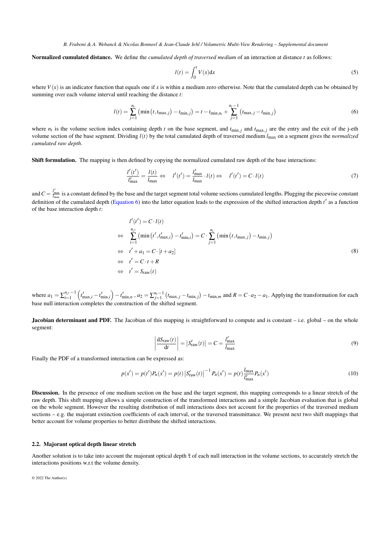Normalized cumulated distance. We define the *cumulated depth of traversed medium* of an interaction at distance *t* as follows:

<span id="page-3-0"></span>
$$
l(t) = \int_0^t V(x) \mathrm{d}x \tag{5}
$$

where  $V(x)$  is an indicator function that equals one if x is within a medium zero otherwise. Note that the cumulated depth can be obtained by summing over each volume interval until reaching the distance *t*:

$$
l(t) = \sum_{j=1}^{n_t} (\min(t, t_{\max,j}) - t_{\min,j}) = t - t_{\min,n_t} + \sum_{j=1}^{n_t - 1} (t_{\max,j} - t_{\min,j})
$$
(6)

where  $n_t$  is the volume section index containing depth *t* on the base segment, and  $t_{\text{min},j}$  and  $t_{\text{max},j}$  are the entry and the exit of the j-eth volume section of the base segment. Dividing *l*(*t*) by the total cumulated depth of traversed medium *l*max on a segment gives the *normalized cumulated raw depth*.

Shift formulation. The mapping is then defined by copying the normalized cumulated raw depth of the base interactions:

$$
\frac{l'(t')}{l'_{\text{max}}} = \frac{l(t)}{l_{\text{max}}} \Leftrightarrow l'(t') = \frac{l'_{\text{max}}}{l_{\text{max}}} \cdot l(t) \Leftrightarrow l'(t') = C \cdot l(t) \tag{7}
$$

and  $C = \frac{l'_{\text{max}}}{l_{\text{max}}}$  is a constant defined by the base and the target segment total volume sections cumulated lengths. Plugging the piecewise constant definition of the cumulated depth [\(Equation 6\)](#page-3-0) into the latter equation leads to the expression of the shifted interaction depth *t'* as a function of the base interaction depth *t*:

$$
l'(t') = C \cdot l(t)
$$
  
\n
$$
\Leftrightarrow \sum_{i=1}^{n_{t'}} (\min(t', t'_{\max,i}) - t'_{\min,i}) = C \cdot \sum_{j=1}^{n_t} (\min(t, t_{\max,j}) - t_{\min,j})
$$
  
\n
$$
\Leftrightarrow t' + a_1 = C \cdot [t + a_2]
$$
  
\n
$$
\Leftrightarrow t' = C \cdot t + R
$$
  
\n
$$
\Leftrightarrow t' = S_{\text{raw}}(t)
$$
\n(8)

where  $a_1 = \sum_{i=1}^{n_t} \binom{t'_{\max,i} - t'_{\min,i}}{t'_{\max,i} - t'_{\min,i}}$ ,  $a_2 = \sum_{j=1}^{n_t-1} \left( t_{\max,j} - t_{\min,j} \right) - t_{\min,m}$  and  $R = C \cdot a_2 - a_1$ . Applying the transformation for each base null interaction completes the construction of the shifted segment.

**Jacobian determinant and PDF.** The Jacobian of this mapping is straightforward to compute and is constant – i.e. global – on the whole segment:

$$
\left| \frac{dS_{\text{raw}}(t)}{dt} \right| = |S_{\text{raw}}'(t)| = C = \frac{l_{\text{max}}'}{l_{\text{max}}} \tag{9}
$$

Finally the PDF of a transformed interaction can be expressed as:

$$
p(x') = p(t')P_n(x') = p(t) |S'_{\text{raw}}(t)|^{-1} P_n(x') = p(t) \frac{l_{\text{max}}}{l'_{\text{max}}} P_n(x')
$$
\n(10)

Discussion. In the presence of one medium section on the base and the target segment, this mapping corresponds to a linear stretch of the raw depth. This shift mapping allows a simple construction of the transformed interactions and a simple Jacobian evaluation that is global on the whole segment. However the resulting distribution of null interactions does not account for the properties of the traversed medium sections – e.g. the majorant extinction coefficients of each interval, or the traversed transmittance. We present next two shift mappings that better account for volume properties to better distribute the shifted interactions.

#### 2.2. Majorant optical depth linear stretch

Another solution is to take into account the majorant optical depth  $\bar{\tau}$  of each null interaction in the volume sections, to accurately stretch the interactions positions w.r.t the volume density.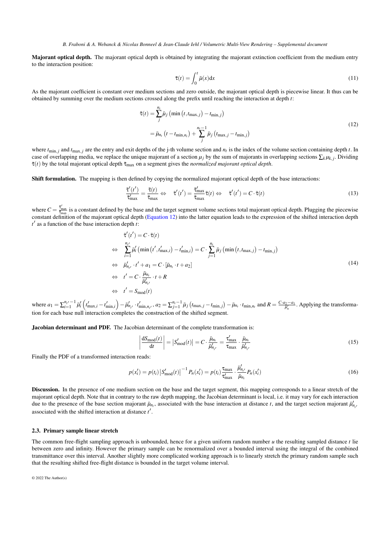Majorant optical depth. The majorant optical depth is obtained by integrating the majorant extinction coefficient from the medium entry to the interaction position:

<span id="page-4-0"></span>
$$
\bar{\tau}(t) = \int_0^t \bar{\mu}(x) dx
$$
\n(11)

As the majorant coefficient is constant over medium sections and zero outside, the majorant optical depth is piecewise linear. It thus can be obtained by summing over the medium sections crossed along the prefix until reaching the interaction at depth *t*:

$$
\bar{\tau}(t) = \sum_{j}^{n_{t}} \bar{\mu}_{j} \left( \min \left( t, t_{\max,j} \right) - t_{\min,j} \right)
$$
\n
$$
= \bar{\mu}_{n_{t}} \left( t - t_{\min,n_{t}} \right) + \sum_{j}^{n_{t}-1} \bar{\mu}_{j} \left( t_{\max,j} - t_{\min,j} \right)
$$
\n(12)

where  $t_{\text{min}, j}$  and  $t_{\text{max}, j}$  are the entry and exit depths of the j-th volume section and  $n_t$  is the index of the volume section containing depth *t*. In case of overlapping media, we replace the unique majorant of a section  $\mu_j$  by the sum of majorants in overlapping sections  $\sum_k \mu_{k,j}$ . Dividing  $\bar{\tau}(t)$  by the total majorant optical depth  $\bar{\tau}_{\text{max}}$  on a segment gives the *normalized majorant optical depth*.

Shift formulation. The mapping is then defined by copying the normalized majorant optical depth of the base interactions:

$$
\frac{\bar{\tau}'(t')}{\bar{\tau}'_{\text{max}}} = \frac{\bar{\tau}(t)}{\bar{\tau}_{\text{max}}} \Leftrightarrow \quad \bar{\tau}'(t') = \frac{\bar{\tau}'_{\text{max}}}{\bar{\tau}_{\text{max}}} \bar{\tau}(t) \Leftrightarrow \quad \bar{\tau}'(t') = C \cdot \bar{\tau}(t)
$$
\n(13)

where  $C = \frac{\bar{\tau}_{\text{max}}'}{\bar{\tau}_{\text{max}}}$  is a constant defined by the base and the target segment volume sections total majorant optical depth. Plugging the piecewise constant definition of the majorant optical depth [\(Equation 12\)](#page-4-0) into the latter equation leads to the expression of the shifted interaction depth  $t'$  as a function of the base interaction depth  $t$ :

$$
\begin{aligned}\n\vec{\tau}'(t') &= C \cdot \bar{\tau}(t) \\
&\Leftrightarrow \sum_{i=1}^{n_{t'}} \bar{\mu}'_i \left( \min\left(t', t'_{\max,i}\right) - t'_{\min,i} \right) = C \cdot \sum_{j=1}^{n_t} \bar{\mu}_j \left( \min\left(t, t_{\max,j}\right) - t_{\min,j}\right) \\
&\Leftrightarrow \bar{\mu}'_{n_{t'}} \cdot t' + a_1 = C \cdot [\bar{\mu}_{n_t} \cdot t + a_2] \\
&\Leftrightarrow t' = C \cdot \frac{\bar{\mu}_{n_t}}{\bar{\mu}'_{n_{t'}}} \cdot t + R \\
&\Leftrightarrow t' = S_{\text{mod}}(t)\n\end{aligned} \tag{14}
$$

where  $a_1 = \sum_{i=1}^{n_t} \bar{\mu}'_i \left( t'_{\max,i} - t'_{\min,i} \right) - \bar{\mu}'_{n_t} \cdot t'_{\min,n_t}$ ,  $a_2 = \sum_{j=1}^{n_t-1} \bar{\mu}_j \left( t_{\max,j} - t_{\min,j} \right) - \bar{\mu}_{n_t} \cdot t_{\min,n_t}$  and  $R = \frac{C \cdot a_2 - a_1}{\bar{\mu}'_n}$ . Applying the transformation for each base null interaction completes the construction of the shifted segment.

Jacobian determinant and PDF. The Jacobian determinant of the complete transformation is:

$$
\left| \frac{\mathrm{d}S_{\text{mod}}(t)}{\mathrm{d}t} \right| = \left| S'_{\text{mod}}(t) \right| = C \cdot \frac{\bar{\mu}_{n_t}}{\bar{\mu}_{n_{t'}}'} = \frac{\tau'_{\text{max}}}{\tau_{\text{max}}} \cdot \frac{\bar{\mu}_{n_t}}{\bar{\mu}_{n_{t'}}'}
$$
(15)

Finally the PDF of a transformed interaction reads:

$$
p(x'_i) = p(t_i) |S'_{\text{mod}}(t)|^{-1} P_n(x'_i) = p(t_i) \frac{\tau_{\text{max}}}{\tau_{\text{max}}} \cdot \frac{\bar{\mu}'_{n_i}}{\bar{\mu}_{n_i}} P_n(x'_i)
$$
(16)

Discussion. In the presence of one medium section on the base and the target segment, this mapping corresponds to a linear stretch of the majorant optical depth. Note that in contrary to the raw depth mapping, the Jacobian determinant is local, i.e. it may vary for each interaction due to the presence of the base section majorant  $\bar{\mu}_{n_t}$ , associated with the base interaction at distance *t*, and the target section majorant  $\bar{\mu}'_{n_t}$ associated with the shifted interaction at distance t'.

#### 2.3. Primary sample linear stretch

The common free-flight sampling approach is unbounded, hence for a given uniform random number *u* the resulting sampled distance *t* lie between zero and infinity. However the primary sample can be renormalized over a bounded interval using the integral of the combined transmittance over this interval. Another slightly more complicated working approach is to linearly stretch the primary random sample such that the resulting shifted free-flight distance is bounded in the target volume interval.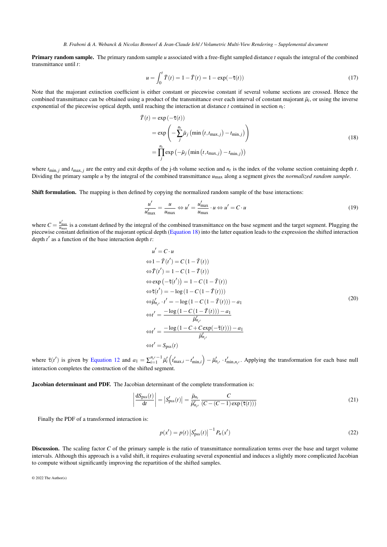Primary random sample. The primary random sample *u* associated with a free-flight sampled distance *t* equals the integral of the combined transmittance until *t*:

<span id="page-5-0"></span>
$$
u = \int_0^t \bar{T}(t) = 1 - \bar{T}(t) = 1 - \exp(-\bar{\tau}(t))
$$
\n(17)

Note that the majorant extinction coefficient is either constant or piecewise constant if several volume sections are crossed. Hence the combined transmittance can be obtained using a product of the transmittance over each interval of constant majorant  $\bar{\mu}_i$ , or using the inverse exponential of the piecewise optical depth, until reaching the interaction at distance  $t$  contained in section  $n_t$ :

$$
\begin{aligned} \bar{T}(t) &= \exp\left(-\bar{\tau}(t)\right) \\ &= \exp\left(-\sum_{j}^{n_t} \bar{\mu}_j \left(\min\left(t, t_{\max,j}\right) - t_{\min,j}\right)\right) \\ &= \prod_{j}^{n_t} \exp\left(-\bar{\mu}_j \left(\min\left(t, t_{\max,j}\right) - t_{\min,j}\right)\right) \end{aligned} \tag{18}
$$

where  $t_{\text{min}}$ , *j* and  $t_{\text{max}}$ , *j* are the entry and exit depths of the j-th volume section and  $n_t$  is the index of the volume section containing depth *t*. Dividing the primary sample *u* by the integral of the combined transmittance *u*max along a segment gives the *normalized random sample*.

Shift formulation. The mapping is then defined by copying the normalized random sample of the base interactions:

$$
\frac{u'}{u'_{\text{max}}} = \frac{u}{u_{\text{max}}} \Leftrightarrow u' = \frac{u'_{\text{max}}}{u_{\text{max}}} \cdot u \Leftrightarrow u' = C \cdot u \tag{19}
$$

where  $C = \frac{u'_{\text{max}}}{u_{\text{max}}}$  is a constant defined by the integral of the combined transmittance on the base segment and the target segment. Plugging the piecewise constant definition of the majorant optical depth [\(Equation 18\)](#page-5-0) into the latter equation leads to the expression the shifted interaction depth  $t'$  as a function of the base interaction depth  $t$ :

$$
u' = C \cdot u
$$
  
\n
$$
\Leftrightarrow 1 - \overline{T}(t') = C(1 - \overline{T}(t))
$$
  
\n
$$
\Leftrightarrow \overline{T}(t') = 1 - C(1 - \overline{T}(t))
$$
  
\n
$$
\Leftrightarrow \exp(-\overline{\tau}(t')) = 1 - C(1 - \overline{T}(t))
$$
  
\n
$$
\Leftrightarrow \overline{\tau}(t') = -\log(1 - C(1 - \overline{T}(t)))
$$
  
\n
$$
\Leftrightarrow \overline{\mu}'_{n_{t'}} \cdot t' = -\log(1 - C(1 - \overline{T}(t))) - a_1
$$
  
\n
$$
\Leftrightarrow t' = \frac{-\log(1 - C(1 - \overline{T}(t))) - a_1}{\overline{\mu}'_{n_{t'}}}
$$
  
\n
$$
\Leftrightarrow t' = \frac{-\log(1 - C + C \exp(-\overline{\tau}(t))) - a_1}{\overline{\mu}'_{n_{t'}}}
$$
  
\n
$$
\Leftrightarrow t' = S_{\text{pss}}(t)
$$
  
\n(20)

where  $\bar{\tau}(t')$  is given by [Equation 12](#page-4-0) and  $a_1 = \sum_{i=1}^{n_{t'}} \bar{l}_i' \left( t'_{\max,i} - t'_{\min,i} \right) - \bar{\mu}'_{n_{t'}} \cdot t'_{\min,n_{t'}}$ . Applying the transformation for each base null interaction completes the construction of the shifted segment.

Jacobian determinant and PDF. The Jacobian determinant of the complete transformation is:

$$
\left| \frac{\mathrm{d}S_{\mathrm{pss}}(t)}{\mathrm{d}t} \right| = \left| S_{\mathrm{pss}}'(t) \right| = \frac{\bar{\mu}_{n_t}}{\bar{\mu}_{n_t}'} \frac{C}{(C - (C - 1)\exp(\bar{\tau}(t)))}
$$
(21)

Finally the PDF of a transformed interaction is:

$$
p(x') = p(t) |S'_{\text{pss}}(t)|^{-1} P_n(x')
$$
 (22)

Discussion. The scaling factor *C* of the primary sample is the ratio of transmittance normalization terms over the base and target volume intervals. Although this approach is a valid shift, it requires evaluating several exponential and induces a slightly more complicated Jacobian to compute without significantly improving the repartition of the shifted samples.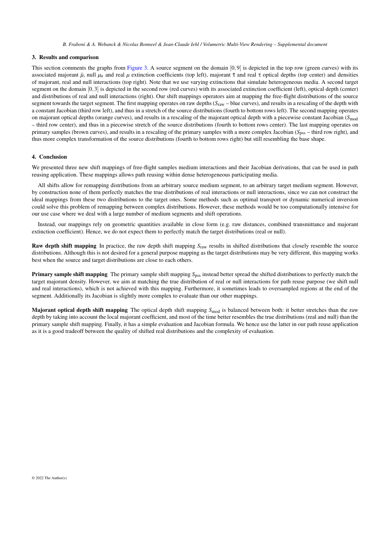#### <span id="page-6-0"></span>3. Results and comparison

This section comments the graphs from [Figure 3.](#page-7-0) A source segment on the domain  $[0,9]$  is depicted in the top row (green curves) with its associated majorant  $\bar{\mu}$ , null  $\mu_n$  and real  $\mu$  extinction coefficients (top left), majorant  $\bar{\tau}$  and real  $\tau$  optical depths (top center) and densities of majorant, real and null interactions (top right). Note that we use varying extinctions that simulate heterogeneous media. A second target segment on the domain [0,3] is depicted in the second row (red curves) with its associated extinction coefficient (left), optical depth (center) and distributions of real and null interactions (right). Our shift mappings operators aim at mapping the free-flight distributions of the source segment towards the target segment. The first mapping operates on raw depths (*S*raw – blue curves), and results in a rescaling of the depth with a constant Jacobian (third row left), and thus in a stretch of the source distributions (fourth to bottom rows left). The second mapping operates on majorant optical depths (orange curves), and results in a rescaling of the majorant optical depth with a piecewise constant Jacobian (*S*mod – third row center), and thus in a piecewise stretch of the source distributions (fourth to bottom rows center). The last mapping operates on primary samples (brown curves), and results in a rescaling of the primary samples with a more complex Jacobian (*S*pss – third row right), and thus more complex transformation of the source distributions (fourth to bottom rows right) but still resembling the base shape.

#### <span id="page-6-1"></span>4. Conclusion

We presented three new shift mappings of free-flight samples medium interactions and their Jacobian derivations, that can be used in path reusing application. These mappings allows path reusing within dense heterogeneous participating media.

All shifts allow for remapping distributions from an arbitrary source medium segment, to an arbitrary target medium segment. However, by construction none of them perfectly matches the true distributions of real interactions or null interactions, since we can not construct the ideal mappings from these two distributions to the target ones. Some methods such as optimal transport or dynamic numerical inversion could solve this problem of remapping between complex distributions. However, these methods would be too computationally intensive for our use case where we deal with a large number of medium segments and shift operations.

Instead, our mappings rely on geometric quantities available in close form (e.g. raw distances, combined transmittance and majorant extinction coefficient). Hence, we do not expect them to perfectly match the target distributions (real or null).

Raw depth shift mapping In practice, the raw depth shift mapping *S*raw results in shifted distributions that closely resemble the source distributions. Although this is not desired for a general purpose mapping as the target distributions may be very different, this mapping works best when the source and target distributions are close to each others.

**Primary sample shift mapping** The primary sample shift mapping  $S_{\text{DSS}}$  instead better spread the shifted distributions to perfectly match the target majorant density. However, we aim at matching the true distribution of real or null interactions for path reuse purpose (we shift null and real interactions), which is not achieved with this mapping. Furthermore, it sometimes leads to oversampled regions at the end of the segment. Additionally its Jacobian is slightly more complex to evaluate than our other mappings.

Majorant optical depth shift mapping The optical depth shift mapping *S*<sub>mod</sub> is balanced between both: it better stretches than the raw depth by taking into account the local majorant coefficient, and most of the time better resembles the true distributions (real and null) than the primary sample shift mapping. Finally, it has a simple evaluation and Jacobian formula. We hence use the latter in our path reuse application as it is a good tradeoff between the quality of shifted real distributions and the complexity of evaluation.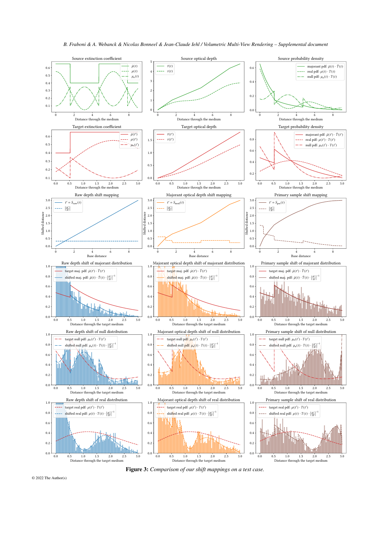<span id="page-7-0"></span>

*B. Fraboni & A. Webanck & Nicolas Bonneel & Jean-Claude Iehl / Volumetric Multi-View Rendering – Supplemental document*

Figure 3: *Comparison of our shift mappings on a test case.*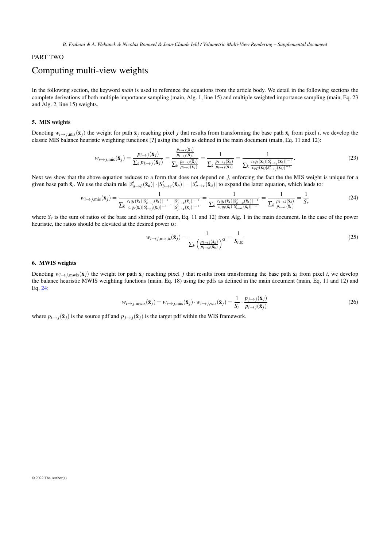# <span id="page-8-5"></span><span id="page-8-0"></span>PART TWO

# Computing multi-view weights

In the following section, the keyword *main* is used to reference the equations from the article body. We detail in the following sections the complete derivations of both multiple importance sampling (main, Alg. 1, line 15) and multiple weighted importance sampling (main, Eq. 23 and Alg. 2, line 15) weights.

#### <span id="page-8-1"></span>5. MIS weights

Denoting  $w_{i\rightarrow j,\text{mis}}(\bar{\mathbf{x}}_i)$  the weight for path  $\bar{\mathbf{x}}_i$  reaching pixel *j* that results from transforming the base path  $\bar{\mathbf{x}}_i$  from pixel *i*, we develop the classic MIS balance heuristic weighting functions [?] using the pdfs as defined in the main document (main, Eq. 11 and 12):

$$
w_{i\rightarrow j,\text{mis}}(\bar{\mathbf{x}}_j) = \frac{p_{i\rightarrow j}(\bar{\mathbf{x}}_j)}{\sum_k p_{k\rightarrow j}(\bar{\mathbf{x}}_j)} = \frac{\frac{p_{i\rightarrow j}(\bar{\mathbf{x}}_j)}{p_{i\rightarrow j}(\bar{\mathbf{x}}_j)}}{\sum_k \frac{p_{k\rightarrow j}(\bar{\mathbf{x}}_j)}{p_{i\rightarrow j}(\bar{\mathbf{x}}_j)}} = \frac{1}{\sum_k \frac{p_{k\rightarrow j}(\bar{\mathbf{x}}_j)}{p_{i\rightarrow j}(\bar{\mathbf{x}}_j)}} = \frac{1}{\sum_k \frac{c_k q_k(\bar{\mathbf{x}}_k) |S'_{k\rightarrow j}(\bar{\mathbf{x}}_k)|^{-1}}{c_i q_i(\bar{\mathbf{x}}_k) |S'_{k\rightarrow j}(\bar{\mathbf{x}}_k)|^{-1}}}.
$$
\n(23)

Next we show that the above equation reduces to a form that does not depend on *j*, enforcing the fact the the MIS weight is unique for a given base path  $\bar{\mathbf{x}}_i$ . We use the chain rule  $|S'_{a\to b}(\bar{\mathbf{x}}_a)| \cdot |S'_{b\to c}(\bar{\mathbf{x}}_b)| = |S'_{a\to c}(\bar{\mathbf{x}}_a)|$  to expand the latter equation, which leads to:

$$
w_{i \to j, \text{mis}}(\bar{\mathbf{x}}_j) = \frac{1}{\sum_k \frac{c_k q_k(\bar{\mathbf{x}}_k) |S'_{k \to j}(\bar{\mathbf{x}}_k)|^{-1}}{\sum_k \frac{c_k q_k(\bar{\mathbf{x}}_k) |S'_{k \to j}(\bar{\mathbf{x}}_j)|^{-1}}{\sum_j \frac{S'_{j \to k}(\bar{\mathbf{x}}_j)|^{-1}}{|S'_{j \to k}(\bar{\mathbf{x}}_j)|^{-1}}} = \frac{1}{\sum_k \frac{c_k q_k(\bar{\mathbf{x}}_k) |S'_{k \to k}(\bar{\mathbf{x}}_k)|^{-1}}{c_i q_i(\bar{\mathbf{x}}_i) |S'_{i \to k}(\bar{\mathbf{x}}_j)|^{-1}}} = \frac{1}{\sum_k \frac{p_{k \to k}(\bar{\mathbf{x}}_k)}{p_{i \to k}(\bar{\mathbf{x}}_k)}} = \frac{1}{S_r}
$$
(24)

where  $S_r$  is the sum of ratios of the base and shifted pdf (main, Eq. 11 and 12) from Alg. 1 in the main document. In the case of the power heuristic, the ratios should be elevated at the desired power  $\alpha$ :

<span id="page-8-4"></span>
$$
w_{i \to j, \text{mis}, \alpha}(\bar{\mathbf{x}}_j) = \frac{1}{\sum_k \left(\frac{p_{k \to k}(\bar{\mathbf{x}}_k)}{p_{i \to k}(\bar{\mathbf{x}}_k)}\right)^{\alpha}} = \frac{1}{S_{r, \alpha}}
$$
(25)

#### <span id="page-8-2"></span>6. MWIS weights

<span id="page-8-3"></span>Denoting  $w_{i\rightarrow j, \text{mus}}(\bar{x}_j)$  the weight for path  $\bar{x}_j$  reaching pixel *j* that results from transforming the base path  $\bar{x}_i$  from pixel *i*, we develop the balance heuristic MWIS weighting functions (main, Eq. 18) using the pdfs as defined in the main document (main, Eq. 11 and 12) and Eq. [24:](#page-8-4)

$$
w_{i \to j, \text{mwis}}(\bar{\mathbf{x}}_j) = w_{i \to j, \text{mis}}(\bar{\mathbf{x}}_j) \cdot w_{i \to j, \text{wis}}(\bar{\mathbf{x}}_j) = \frac{1}{S_r} \cdot \frac{p_{j \to j}(\bar{\mathbf{x}}_j)}{p_{i \to j}(\bar{\mathbf{x}}_j)}
$$
(26)

where  $p_{i\rightarrow j}(\bar{x}_j)$  is the source pdf and  $p_{i\rightarrow j}(\bar{x}_j)$  is the target pdf within the WIS framework.